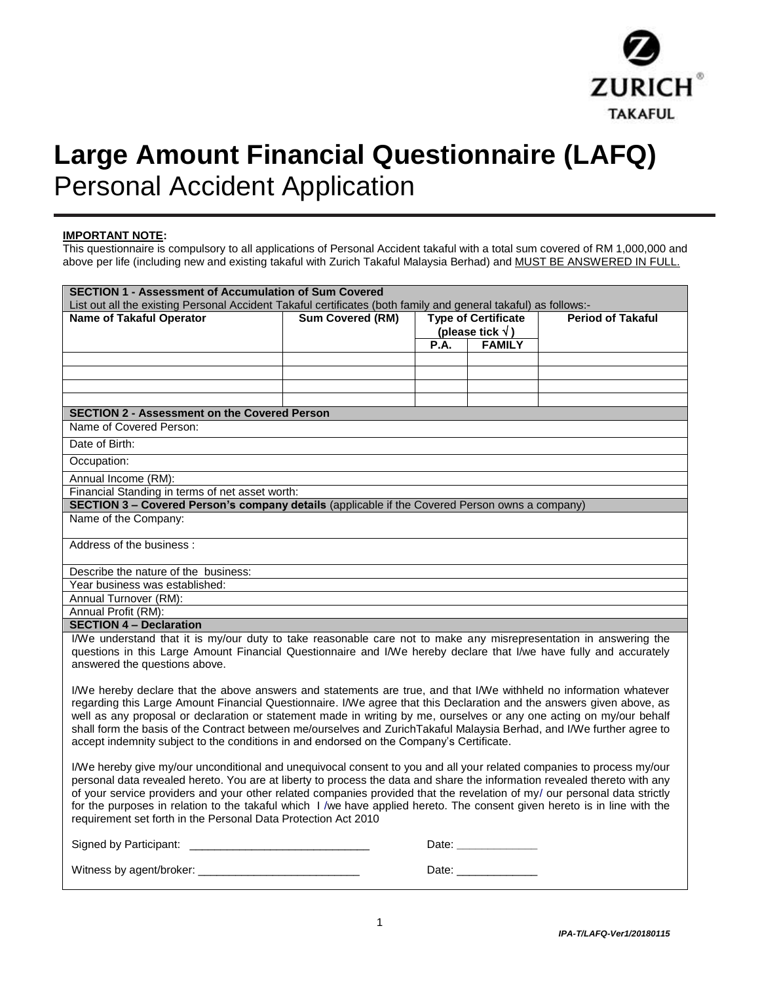

# **Large Amount Financial Questionnaire (LAFQ)** Personal Accident Application

#### **IMPORTANT NOTE:**

This questionnaire is compulsory to all applications of Personal Accident takaful with a total sum covered of RM 1,000,000 and above per life (including new and existing takaful with Zurich Takaful Malaysia Berhad) and MUST BE ANSWERED IN FULL.

| <b>SECTION 1 - Assessment of Accumulation of Sum Covered</b>                                                                                                                                                                                                                                                                                                                                                                                                                                                                                                                              |                         |                                                   |  |                          |
|-------------------------------------------------------------------------------------------------------------------------------------------------------------------------------------------------------------------------------------------------------------------------------------------------------------------------------------------------------------------------------------------------------------------------------------------------------------------------------------------------------------------------------------------------------------------------------------------|-------------------------|---------------------------------------------------|--|--------------------------|
| List out all the existing Personal Accident Takaful certificates (both family and general takaful) as follows:-                                                                                                                                                                                                                                                                                                                                                                                                                                                                           |                         |                                                   |  |                          |
| <b>Name of Takaful Operator</b>                                                                                                                                                                                                                                                                                                                                                                                                                                                                                                                                                           | <b>Sum Covered (RM)</b> | <b>Type of Certificate</b>                        |  | <b>Period of Takaful</b> |
|                                                                                                                                                                                                                                                                                                                                                                                                                                                                                                                                                                                           |                         | (please tick $\sqrt{}$ )<br><b>FAMILY</b><br>P.A. |  |                          |
|                                                                                                                                                                                                                                                                                                                                                                                                                                                                                                                                                                                           |                         |                                                   |  |                          |
|                                                                                                                                                                                                                                                                                                                                                                                                                                                                                                                                                                                           |                         |                                                   |  |                          |
|                                                                                                                                                                                                                                                                                                                                                                                                                                                                                                                                                                                           |                         |                                                   |  |                          |
|                                                                                                                                                                                                                                                                                                                                                                                                                                                                                                                                                                                           |                         |                                                   |  |                          |
| <b>SECTION 2 - Assessment on the Covered Person</b>                                                                                                                                                                                                                                                                                                                                                                                                                                                                                                                                       |                         |                                                   |  |                          |
| Name of Covered Person:                                                                                                                                                                                                                                                                                                                                                                                                                                                                                                                                                                   |                         |                                                   |  |                          |
| Date of Birth:                                                                                                                                                                                                                                                                                                                                                                                                                                                                                                                                                                            |                         |                                                   |  |                          |
| Occupation:                                                                                                                                                                                                                                                                                                                                                                                                                                                                                                                                                                               |                         |                                                   |  |                          |
| Annual Income (RM):                                                                                                                                                                                                                                                                                                                                                                                                                                                                                                                                                                       |                         |                                                   |  |                          |
| Financial Standing in terms of net asset worth:                                                                                                                                                                                                                                                                                                                                                                                                                                                                                                                                           |                         |                                                   |  |                          |
| SECTION 3 - Covered Person's company details (applicable if the Covered Person owns a company)                                                                                                                                                                                                                                                                                                                                                                                                                                                                                            |                         |                                                   |  |                          |
| Name of the Company:                                                                                                                                                                                                                                                                                                                                                                                                                                                                                                                                                                      |                         |                                                   |  |                          |
| Address of the business:                                                                                                                                                                                                                                                                                                                                                                                                                                                                                                                                                                  |                         |                                                   |  |                          |
| Describe the nature of the business:                                                                                                                                                                                                                                                                                                                                                                                                                                                                                                                                                      |                         |                                                   |  |                          |
| Year business was established:                                                                                                                                                                                                                                                                                                                                                                                                                                                                                                                                                            |                         |                                                   |  |                          |
| Annual Turnover (RM):                                                                                                                                                                                                                                                                                                                                                                                                                                                                                                                                                                     |                         |                                                   |  |                          |
| Annual Profit (RM):                                                                                                                                                                                                                                                                                                                                                                                                                                                                                                                                                                       |                         |                                                   |  |                          |
| <b>SECTION 4 - Declaration</b>                                                                                                                                                                                                                                                                                                                                                                                                                                                                                                                                                            |                         |                                                   |  |                          |
| I/We understand that it is my/our duty to take reasonable care not to make any misrepresentation in answering the<br>questions in this Large Amount Financial Questionnaire and I/We hereby declare that I/we have fully and accurately<br>answered the questions above.                                                                                                                                                                                                                                                                                                                  |                         |                                                   |  |                          |
| I/We hereby declare that the above answers and statements are true, and that I/We withheld no information whatever<br>regarding this Large Amount Financial Questionnaire. I/We agree that this Declaration and the answers given above, as<br>well as any proposal or declaration or statement made in writing by me, ourselves or any one acting on my/our behalf<br>shall form the basis of the Contract between me/ourselves and ZurichTakaful Malaysia Berhad, and I/We further agree to<br>accept indemnity subject to the conditions in and endorsed on the Company's Certificate. |                         |                                                   |  |                          |
| I/We hereby give my/our unconditional and unequivocal consent to you and all your related companies to process my/our<br>personal data revealed hereto. You are at liberty to process the data and share the information revealed thereto with any<br>of your service providers and your other related companies provided that the revelation of my/ our personal data strictly<br>for the purposes in relation to the takaful which I /we have applied hereto. The consent given hereto is in line with the<br>requirement set forth in the Personal Data Protection Act 2010            |                         |                                                   |  |                          |
| Signed by Participant: ________                                                                                                                                                                                                                                                                                                                                                                                                                                                                                                                                                           | Date: ____________      |                                                   |  |                          |
| Witness by agent/broker:                                                                                                                                                                                                                                                                                                                                                                                                                                                                                                                                                                  | Date:                   |                                                   |  |                          |